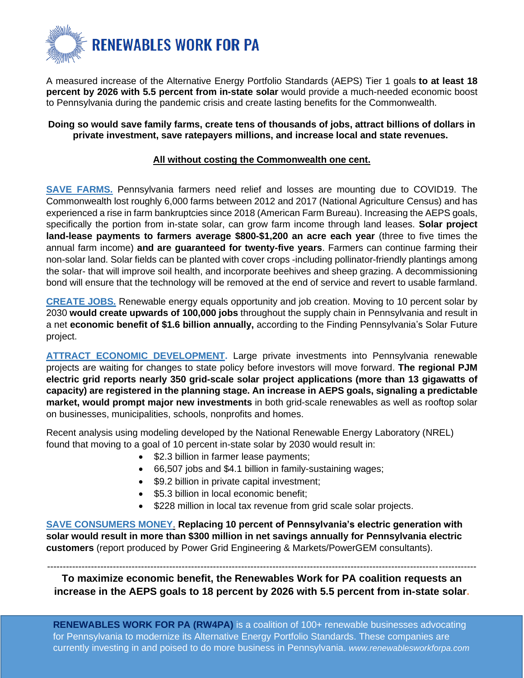

A measured increase of the Alternative Energy Portfolio Standards (AEPS) Tier 1 goals **to at least 18 percent by 2026 with 5.5 percent from in-state solar** would provide a much-needed economic boost to Pennsylvania during the pandemic crisis and create lasting benefits for the Commonwealth.

## **Doing so would save family farms, create tens of thousands of jobs, attract billions of dollars in private investment, save ratepayers millions, and increase local and state revenues.**

## **All without costing the Commonwealth one cent.**

**SAVE FARMS.** Pennsylvania farmers need relief and losses are mounting due to COVID19. The Commonwealth lost roughly 6,000 farms between 2012 and 2017 (National Agriculture Census) and has experienced a rise in farm bankruptcies since 2018 (American Farm Bureau). Increasing the AEPS goals, specifically the portion from in-state solar, can grow farm income through land leases. **Solar project land-lease payments to farmers average \$800-\$1,200 an acre each year** (three to five times the annual farm income) **and are guaranteed for twenty-five years**. Farmers can continue farming their non-solar land. Solar fields can be planted with cover crops -including pollinator-friendly plantings among the solar- that will improve soil health, and incorporate beehives and sheep grazing. A decommissioning bond will ensure that the technology will be removed at the end of service and revert to usable farmland.

**CREATE JOBS.** Renewable energy equals opportunity and job creation. Moving to 10 percent solar by 2030 **would create upwards of 100,000 jobs** throughout the supply chain in Pennsylvania and result in a net **economic benefit of \$1.6 billion annually,** according to the Finding Pennsylvania's Solar Future project.

**ATTRACT ECONOMIC DEVELOPMENT.** Large private investments into Pennsylvania renewable projects are waiting for changes to state policy before investors will move forward. **The regional PJM electric grid reports nearly 350 grid-scale solar project applications (more than 13 gigawatts of capacity) are registered in the planning stage. An increase in AEPS goals, signaling a predictable market, would prompt major new investments** in both grid-scale renewables as well as rooftop solar on businesses, municipalities, schools, nonprofits and homes.

Recent analysis using modeling developed by the National Renewable Energy Laboratory (NREL) found that moving to a goal of 10 percent in-state solar by 2030 would result in:

- \$2.3 billion in farmer lease payments;
- 66,507 jobs and \$4.1 billion in family-sustaining wages;
- \$9.2 billion in private capital investment;
- \$5.3 billion in local economic benefit;
- \$228 million in local tax revenue from grid scale solar projects.

**SAVE CONSUMERS MONEY**. **Replacing 10 percent of Pennsylvania's electric generation with solar would result in more than \$300 million in net savings annually for Pennsylvania electric customers** (report produced by Power Grid Engineering & Markets/PowerGEM consultants).

----------------------------------------------------------------------------------------------------------------------------------------- **To maximize economic benefit, the Renewables Work for PA coalition requests an increase in the AEPS goals to 18 percent by 2026 with 5.5 percent from in-state solar.**

**RENEWABLES WORK FOR PA (RW4PA)** is a coalition of 100+ renewable businesses advocating for Pennsylvania to modernize its Alternative Energy Portfolio Standards. These companies are currently investing in and poised to do more business in Pennsylvania. *www.renewablesworkforpa.com*